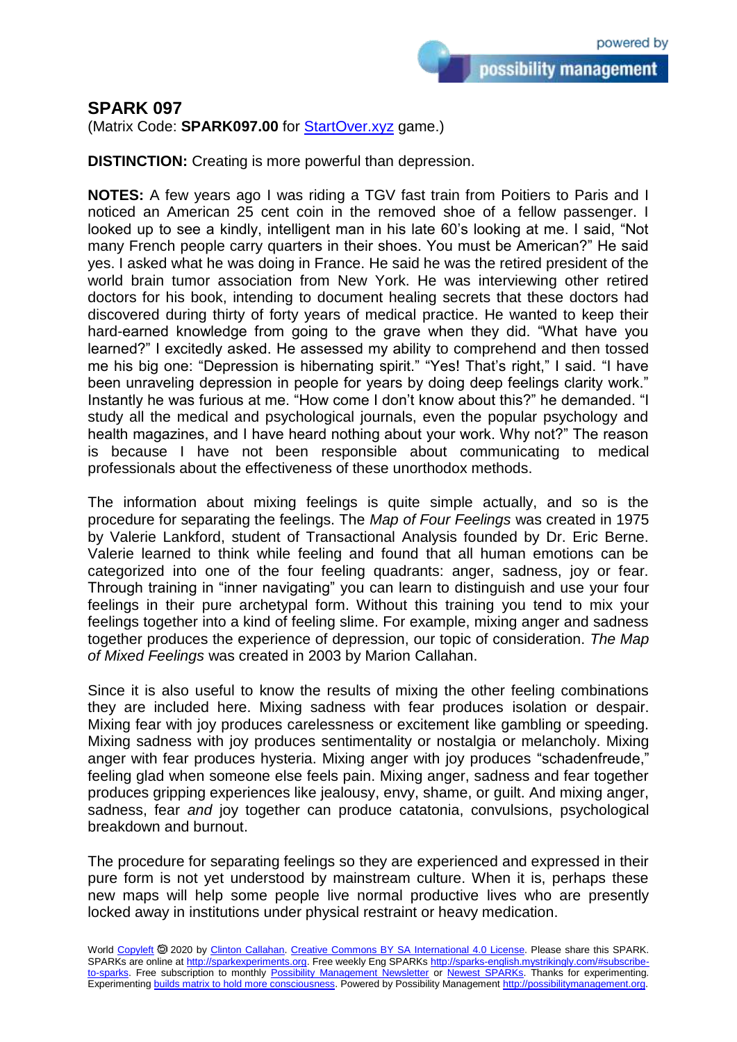possibility management

## **SPARK 097**

(Matrix Code: **SPARK097.00** for **StartOver.xyz** game.)

**DISTINCTION:** Creating is more powerful than depression.

**NOTES:** A few years ago I was riding a TGV fast train from Poitiers to Paris and I noticed an American 25 cent coin in the removed shoe of a fellow passenger. I looked up to see a kindly, intelligent man in his late 60's looking at me. I said, "Not many French people carry quarters in their shoes. You must be American?" He said yes. I asked what he was doing in France. He said he was the retired president of the world brain tumor association from New York. He was interviewing other retired doctors for his book, intending to document healing secrets that these doctors had discovered during thirty of forty years of medical practice. He wanted to keep their hard-earned knowledge from going to the grave when they did. "What have you learned?" I excitedly asked. He assessed my ability to comprehend and then tossed me his big one: "Depression is hibernating spirit." "Yes! That's right," I said. "I have been unraveling depression in people for years by doing deep feelings clarity work." Instantly he was furious at me. "How come I don't know about this?" he demanded. "I study all the medical and psychological journals, even the popular psychology and health magazines, and I have heard nothing about your work. Why not?" The reason is because I have not been responsible about communicating to medical professionals about the effectiveness of these unorthodox methods.

The information about mixing feelings is quite simple actually, and so is the procedure for separating the feelings. The *Map of Four Feelings* was created in 1975 by Valerie Lankford, student of Transactional Analysis founded by Dr. Eric Berne. Valerie learned to think while feeling and found that all human emotions can be categorized into one of the four feeling quadrants: anger, sadness, joy or fear. Through training in "inner navigating" you can learn to distinguish and use your four feelings in their pure archetypal form. Without this training you tend to mix your feelings together into a kind of feeling slime. For example, mixing anger and sadness together produces the experience of depression, our topic of consideration. *The Map of Mixed Feelings* was created in 2003 by Marion Callahan.

Since it is also useful to know the results of mixing the other feeling combinations they are included here. Mixing sadness with fear produces isolation or despair. Mixing fear with joy produces carelessness or excitement like gambling or speeding. Mixing sadness with joy produces sentimentality or nostalgia or melancholy. Mixing anger with fear produces hysteria. Mixing anger with joy produces "schadenfreude," feeling glad when someone else feels pain. Mixing anger, sadness and fear together produces gripping experiences like jealousy, envy, shame, or guilt. And mixing anger, sadness, fear *and* joy together can produce catatonia, convulsions, psychological breakdown and burnout.

The procedure for separating feelings so they are experienced and expressed in their pure form is not yet understood by mainstream culture. When it is, perhaps these new maps will help some people live normal productive lives who are presently locked away in institutions under physical restraint or heavy medication.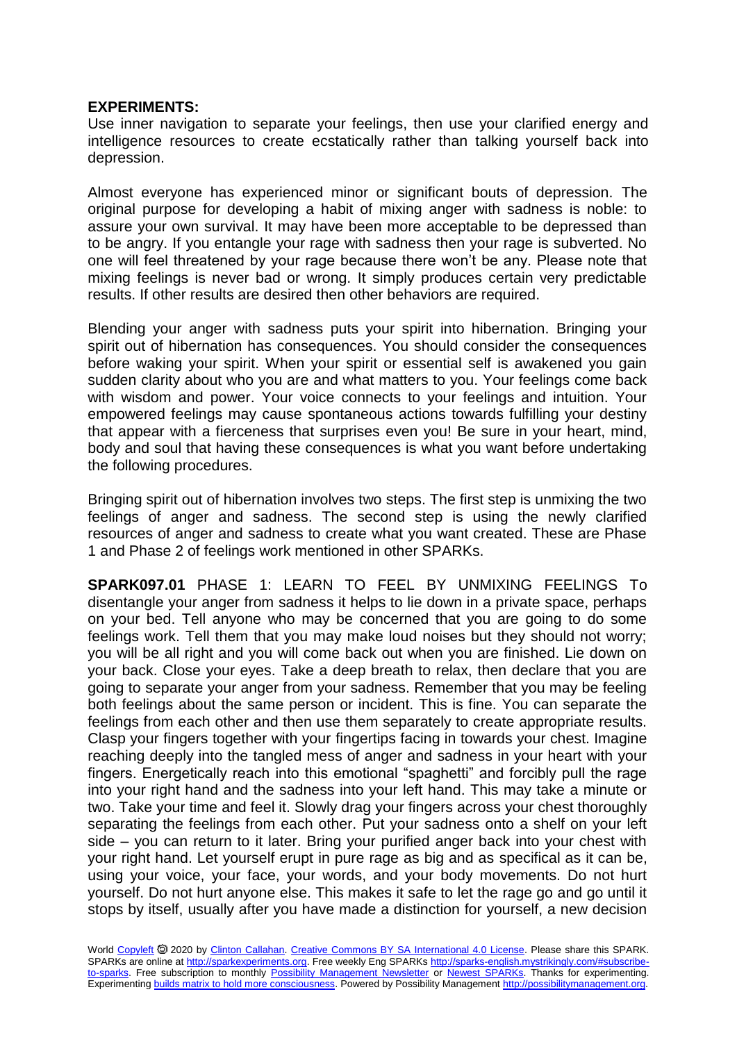## **EXPERIMENTS:**

Use inner navigation to separate your feelings, then use your clarified energy and intelligence resources to create ecstatically rather than talking yourself back into depression.

Almost everyone has experienced minor or significant bouts of depression. The original purpose for developing a habit of mixing anger with sadness is noble: to assure your own survival. It may have been more acceptable to be depressed than to be angry. If you entangle your rage with sadness then your rage is subverted. No one will feel threatened by your rage because there won't be any. Please note that mixing feelings is never bad or wrong. It simply produces certain very predictable results. If other results are desired then other behaviors are required.

Blending your anger with sadness puts your spirit into hibernation. Bringing your spirit out of hibernation has consequences. You should consider the consequences before waking your spirit. When your spirit or essential self is awakened you gain sudden clarity about who you are and what matters to you. Your feelings come back with wisdom and power. Your voice connects to your feelings and intuition. Your empowered feelings may cause spontaneous actions towards fulfilling your destiny that appear with a fierceness that surprises even you! Be sure in your heart, mind, body and soul that having these consequences is what you want before undertaking the following procedures.

Bringing spirit out of hibernation involves two steps. The first step is unmixing the two feelings of anger and sadness. The second step is using the newly clarified resources of anger and sadness to create what you want created. These are Phase 1 and Phase 2 of feelings work mentioned in other SPARKs.

**SPARK097.01** PHASE 1: LEARN TO FEEL BY UNMIXING FEELINGS To disentangle your anger from sadness it helps to lie down in a private space, perhaps on your bed. Tell anyone who may be concerned that you are going to do some feelings work. Tell them that you may make loud noises but they should not worry; you will be all right and you will come back out when you are finished. Lie down on your back. Close your eyes. Take a deep breath to relax, then declare that you are going to separate your anger from your sadness. Remember that you may be feeling both feelings about the same person or incident. This is fine. You can separate the feelings from each other and then use them separately to create appropriate results. Clasp your fingers together with your fingertips facing in towards your chest. Imagine reaching deeply into the tangled mess of anger and sadness in your heart with your fingers. Energetically reach into this emotional "spaghetti" and forcibly pull the rage into your right hand and the sadness into your left hand. This may take a minute or two. Take your time and feel it. Slowly drag your fingers across your chest thoroughly separating the feelings from each other. Put your sadness onto a shelf on your left side – you can return to it later. Bring your purified anger back into your chest with your right hand. Let yourself erupt in pure rage as big and as specifical as it can be, using your voice, your face, your words, and your body movements. Do not hurt yourself. Do not hurt anyone else. This makes it safe to let the rage go and go until it stops by itself, usually after you have made a distinction for yourself, a new decision